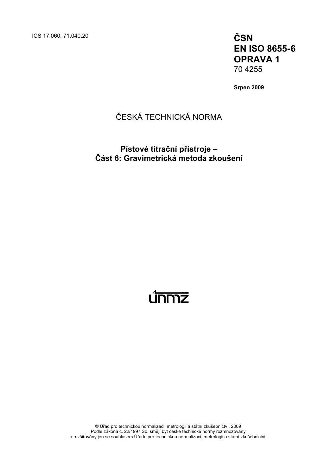ICS 17.060; 71.040.20 **ČSN** 

**EN ISO 8655-6 OPRAVA 1**  70 4255

**Srpen 2009** 

### ČESKÁ TECHNICKÁ NORMA

### **Pístové titrační přístroje – Část 6: Gravimetrická metoda zkoušení**

# <u>únmz</u>

© Úřad pro technickou normalizaci, metrologii a státní zkušebnictví, 2009 Podle zákona č. 22/1997 Sb. smějí být české technické normy rozmnožovány a rozšiřovány jen se souhlasem Úřadu pro technickou normalizaci, metrologii a státní zkušebnictví.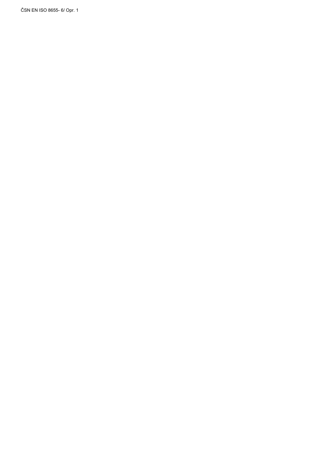ČSN EN ISO 8655- 6/ Opr. 1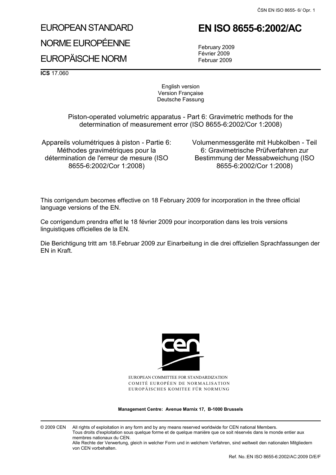### EUROPEAN STANDARD

NORME EUROPÉENNE EUROPÄISCHE NORM

## **EN ISO 8655-6:2002/AC**

 February 2009 Février 2009 Februar 2009

**ICS** 17.060

English version Version Française Deutsche Fassung

 Piston-operated volumetric apparatus - Part 6: Gravimetric methods for the determination of measurement error (ISO 8655-6:2002/Cor 1:2008)

Appareils volumétriques à piston - Partie 6: Méthodes gravimétriques pour la détermination de l'erreur de mesure (ISO 8655-6:2002/Cor 1:2008)

 Volumenmessgeräte mit Hubkolben - Teil 6: Gravimetrische Prüfverfahren zur Bestimmung der Messabweichung (ISO 8655-6:2002/Cor 1:2008)

This corrigendum becomes effective on 18 February 2009 for incorporation in the three official language versions of the EN.

Ce corrigendum prendra effet le 18 février 2009 pour incorporation dans les trois versions linguistiques officielles de la EN.

Die Berichtigung tritt am 18.Februar 2009 zur Einarbeitung in die drei offiziellen Sprachfassungen der EN in Kraft.



EUROPEAN COMMITTEE FOR STANDARDIZATION COMITÉ EUROPÉEN DE NORMALISATION EUROPÄISCHES KOMITEE FÜR NORMUNG

**Management Centre: Avenue Marnix 17, B-1000 Brussels** 

© 2009 CEN All rights of exploitation in any form and by any means reserved worldwide for CEN national Members. Tous droits d'exploitation sous quelque forme et de quelque manière que ce soit réservés dans le monde entier aux membres nationaux du CEN. Alle Rechte der Verwertung, gleich in welcher Form und in welchem Verfahren, sind weltweit den nationalen Mitgliedern

von CEN vorbehalten.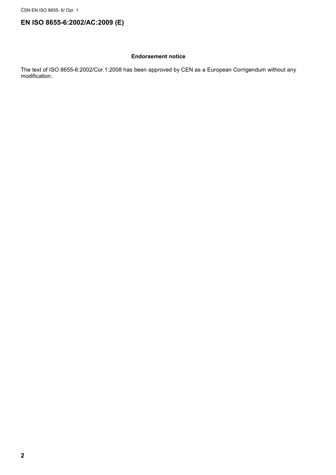ČSN EN ISO 8655- 6/ Opr. 1

### **EN ISO 8655-6:2002/AC:2009 (E)**

#### **Endorsement notice**

The text of ISO 8655-6:2002/Cor.1:2008 has been approved by CEN as a European Corrigendum without any modification.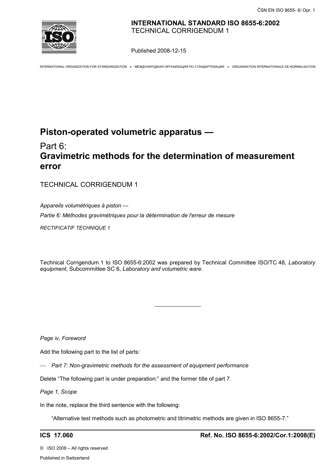

### **INTERNATIONAL STANDARD ISO 8655-6:2002**  TECHNICAL CORRIGENDUM 1

Published 2008-12-15

INTERNATIONAL ORGANIZATION FOR STANDARDIZATION • МЕЖДУНАРОДНАЯ ОРГАНИЗАЦИЯ ПО СТАНДАРТИЗАЦИИ • ORGANISATION INTERNATIONALE DE NORMALISATION

### **Piston-operated volumetric apparatus —**

### Part 6: **Gravimetric methods for the determination of measurement error**

TECHNICAL CORRIGENDUM 1

*Appareils volumétriques à piston — Partie 6: Méthodes gravimétriques pour la détermination de l'erreur de mesure* 

*RECTIFICATIF TECHNIQUE 1*

Technical Corrigendum 1 to ISO 8655-6:2002 was prepared by Technical Committee ISO/TC 48, *Laboratory equipment*, Subcommittee SC 6, *Laboratory and volumetric ware*.

*Page iv, Foreword* 

Add the following part to the list of parts:

⎯ *Part 7: Non-gravimetric methods for the assessment of equipment performance* 

 $\overline{a}$ 

Delete "The following part is under preparation:" and the former title of part 7.

*Page 1, Scope* 

In the note, replace the third sentence with the following:

"Alternative test methods such as photometric and titrimetric methods are given in ISO 8655-7."

©ISO 2008 – All rights reserved Published in Switzerland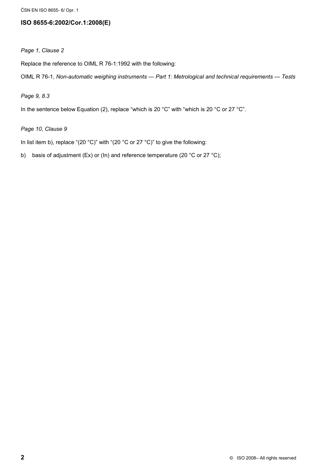### **ISO 8655-6:2002/Cor.1:2008(E)**

#### *Page 1, Clause 2*

Replace the reference to OIML R 76-1:1992 with the following:

OIML R 76-1, *Non-automatic weighing instruments — Part 1: Metrological and technical requirements — Tests*

#### *Page 9, 8.3*

In the sentence below Equation (2), replace "which is 20 °C" with "which is 20 °C or 27 °C".

#### *Page 10, Clause 9*

In list item b), replace "(20 °C)" with "(20 °C or 27 °C)" to give the following:

b) basis of adjustment (Ex) or (In) and reference temperature (20 °C or 27 °C);